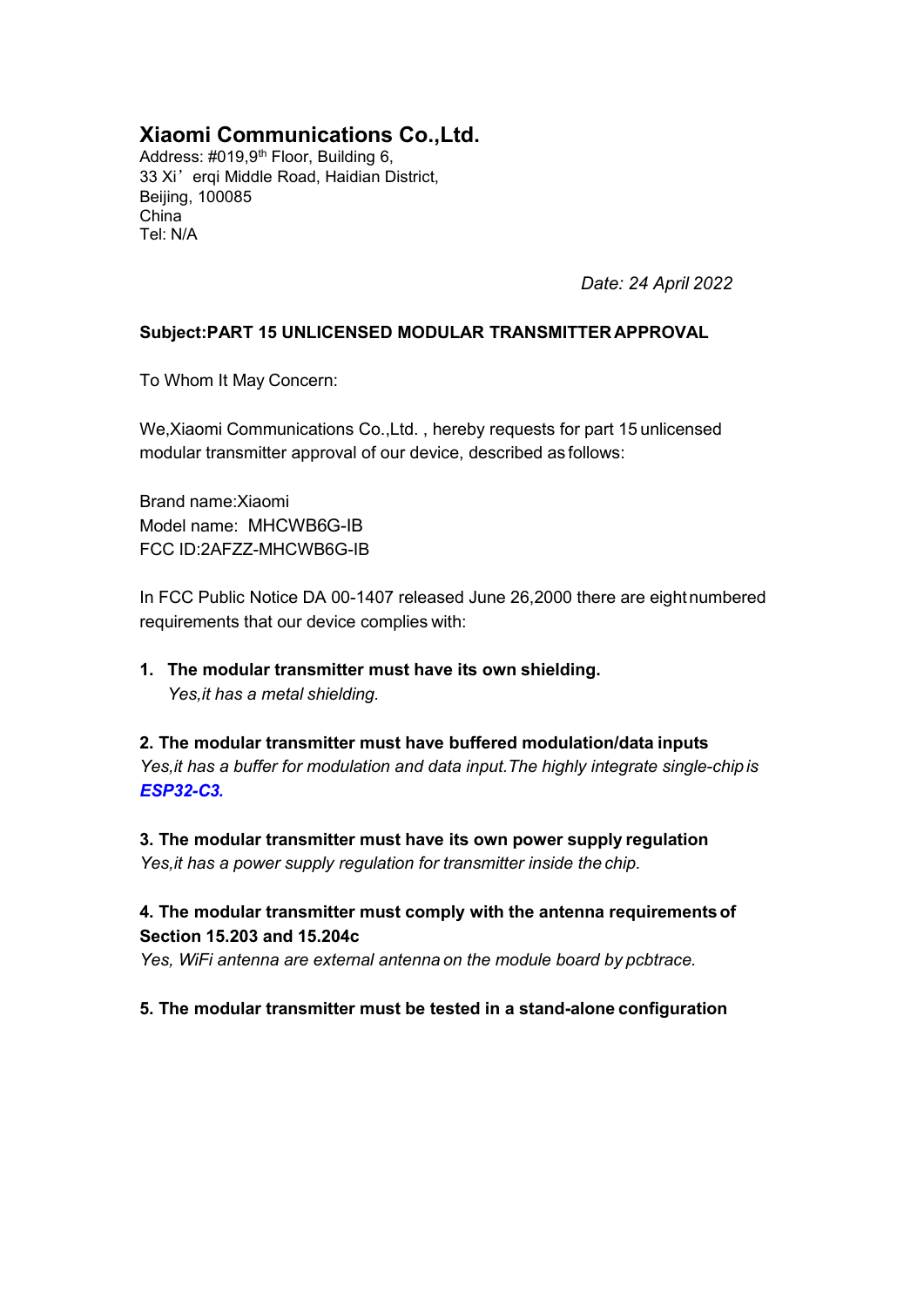# **Xiaomi Communications Co.,Ltd.**

Address: #019,9<sup>th</sup> Floor, Building 6, 33 Xi'erqi Middle Road, Haidian District, Beijing, 100085 China Tel: N/A

*Date: 24 April 2022*

### **Subject:PART 15 UNLICENSED MODULAR TRANSMITTER APPROVAL**

To Whom It May Concern:

We,Xiaomi Communications Co.,Ltd. , hereby requests for part 15 unlicensed modular transmitter approval of our device, described as follows:

Brand name:Xiaomi Model name: MHCWB6G-IB FCC ID:2AFZZ-MHCWB6G-IB

In FCC Public Notice DA 00-1407 released June 26,2000 there are eightnumbered requirements that our device complies with:

**1. The modular transmitter must have its own shielding.** *Yes,it has a metal shielding.*

**2. The modular transmitter must have buffered modulation/data inputs** *Yes,it has a buffer for modulation and data input.The highly integrate single-chip is ESP32-C3.*

**3. The modular transmitter must have its own power supply regulation** *Yes,it has a power supply regulation for transmitter inside the chip.*

## **4. The modular transmitter must comply with the antenna requirementsof Section 15.203 and 15.204c**

*Yes, WiFi antenna are external antenna on the module board by pcbtrace.*

#### **5. The modular transmitter must be tested in a stand-alone configuration**